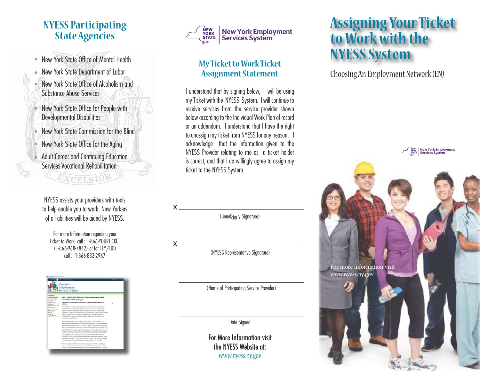- New York State Office of Mental Health
- New York State Department of Labor
- l New York State Office of Alcoholism and
- l
- New York State Commission for the Blind
- New York State Office for the Aging
- 

NYESS assists your providers with tools to help enable you to work. New Yorkers  $X =$ of all abilities will be aided by NYESS.

For more Information regarding your Ticket to Work call : 1-866-YOURTICKET  $\mathsf{X}$  (1-866-968-7842) or for TTY/TDD (NYESS Representative Signature)<br>
call : 1-866-833-2967





#### **My Ticket to Work Ticket Assignment Statement**

I understand that by signing below, I will be using Substance Abuse Services my Ticket with the NYESS System. I will continue to New York State Office for People with **New York State Office for People with** Meville receive services from the service provider shown Developmental Disabilities **below** according to the Individual Work Plan of record or an addendum. I understand that I have the right to unassign my ticket from NYESS for any reason. I acknowledge that the information given to the Adult Career and Community Education is correct, and that I do willingly agree to assign my<br>Services-Vocational Rehabilitation ticket to the NYESS System.

(Benef<sub>tiar</sub> y Signature)

 $\mathsf{x}$  x  $\mathsf{x}$  x  $\mathsf{x}$ 

(Name of Participating Service Provider)

Date Signed

For More Information visit the NYESS Website at: www.nyess.ny.gov

### **Assigning Your Ticket to Work with the NYESS System**

Choosing An Employment Network (EN)